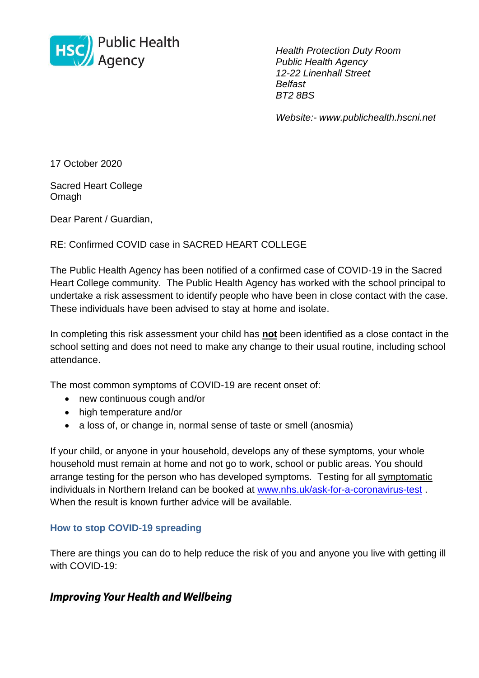

*Health Protection Duty Room Public Health Agency 12-22 Linenhall Street Belfast BT2 8BS*

*Website:- www.publichealth.hscni.net* 

17 October 2020

Sacred Heart College Omagh

Dear Parent / Guardian,

## RE: Confirmed COVID case in SACRED HEART COLLEGE

The Public Health Agency has been notified of a confirmed case of COVID-19 in the Sacred Heart College community. The Public Health Agency has worked with the school principal to undertake a risk assessment to identify people who have been in close contact with the case. These individuals have been advised to stay at home and isolate.

In completing this risk assessment your child has **not** been identified as a close contact in the school setting and does not need to make any change to their usual routine, including school attendance.

The most common symptoms of COVID-19 are recent onset of:

- new continuous cough and/or
- high temperature and/or
- a loss of, or change in, normal sense of taste or smell (anosmia)

If your child, or anyone in your household, develops any of these symptoms, your whole household must remain at home and not go to work, school or public areas. You should arrange testing for the person who has developed symptoms. Testing for all symptomatic individuals in Northern Ireland can be booked at [www.nhs.uk/ask-for-a-coronavirus-test](http://www.nhs.uk/ask-for-a-coronavirus-test) . When the result is known further advice will be available.

## **How to stop COVID-19 spreading**

There are things you can do to help reduce the risk of you and anyone you live with getting ill with COVID-19:

## **Improving Your Health and Wellbeing**